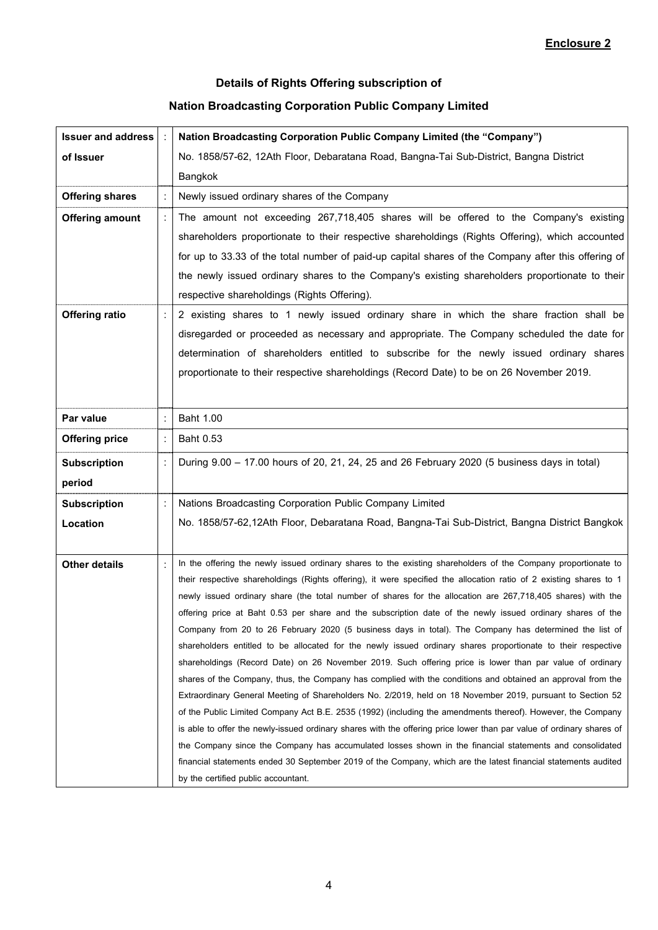# **Details of Rights Offering subscription of**

# **Nation Broadcasting Corporation Public Company Limited**

| <b>Issuer and address</b> |                      | Nation Broadcasting Corporation Public Company Limited (the "Company")                                                                                                                                                    |
|---------------------------|----------------------|---------------------------------------------------------------------------------------------------------------------------------------------------------------------------------------------------------------------------|
| of Issuer                 |                      | No. 1858/57-62, 12Ath Floor, Debaratana Road, Bangna-Tai Sub-District, Bangna District                                                                                                                                    |
|                           |                      | Bangkok                                                                                                                                                                                                                   |
| <b>Offering shares</b>    |                      | Newly issued ordinary shares of the Company                                                                                                                                                                               |
| <b>Offering amount</b>    | $\ddot{\phantom{a}}$ | The amount not exceeding 267,718,405 shares will be offered to the Company's existing                                                                                                                                     |
|                           |                      | shareholders proportionate to their respective shareholdings (Rights Offering), which accounted                                                                                                                           |
|                           |                      | for up to 33.33 of the total number of paid-up capital shares of the Company after this offering of                                                                                                                       |
|                           |                      | the newly issued ordinary shares to the Company's existing shareholders proportionate to their                                                                                                                            |
|                           |                      | respective shareholdings (Rights Offering).                                                                                                                                                                               |
| <b>Offering ratio</b>     |                      | 2 existing shares to 1 newly issued ordinary share in which the share fraction shall be                                                                                                                                   |
|                           |                      | disregarded or proceeded as necessary and appropriate. The Company scheduled the date for                                                                                                                                 |
|                           |                      | determination of shareholders entitled to subscribe for the newly issued ordinary shares                                                                                                                                  |
|                           |                      | proportionate to their respective shareholdings (Record Date) to be on 26 November 2019.                                                                                                                                  |
|                           |                      |                                                                                                                                                                                                                           |
| Par value                 | ÷                    | <b>Baht 1.00</b>                                                                                                                                                                                                          |
| <b>Offering price</b>     | $\ddot{\cdot}$       | <b>Baht 0.53</b>                                                                                                                                                                                                          |
|                           |                      |                                                                                                                                                                                                                           |
| <b>Subscription</b>       |                      | During 9.00 - 17.00 hours of 20, 21, 24, 25 and 26 February 2020 (5 business days in total)                                                                                                                               |
| period                    |                      |                                                                                                                                                                                                                           |
| <b>Subscription</b>       | ÷                    | Nations Broadcasting Corporation Public Company Limited                                                                                                                                                                   |
| Location                  |                      | No. 1858/57-62,12Ath Floor, Debaratana Road, Bangna-Tai Sub-District, Bangna District Bangkok                                                                                                                             |
|                           |                      |                                                                                                                                                                                                                           |
| <b>Other details</b>      |                      | In the offering the newly issued ordinary shares to the existing shareholders of the Company proportionate to                                                                                                             |
|                           |                      | their respective shareholdings (Rights offering), it were specified the allocation ratio of 2 existing shares to 1                                                                                                        |
|                           |                      | newly issued ordinary share (the total number of shares for the allocation are 267,718,405 shares) with the                                                                                                               |
|                           |                      | offering price at Baht 0.53 per share and the subscription date of the newly issued ordinary shares of the<br>Company from 20 to 26 February 2020 (5 business days in total). The Company has determined the list of      |
|                           |                      | shareholders entitled to be allocated for the newly issued ordinary shares proportionate to their respective                                                                                                              |
|                           |                      | shareholdings (Record Date) on 26 November 2019. Such offering price is lower than par value of ordinary                                                                                                                  |
|                           |                      | shares of the Company, thus, the Company has complied with the conditions and obtained an approval from the                                                                                                               |
|                           |                      | Extraordinary General Meeting of Shareholders No. 2/2019, held on 18 November 2019, pursuant to Section 52                                                                                                                |
|                           |                      | of the Public Limited Company Act B.E. 2535 (1992) (including the amendments thereof). However, the Company                                                                                                               |
|                           |                      | is able to offer the newly-issued ordinary shares with the offering price lower than par value of ordinary shares of                                                                                                      |
|                           |                      | the Company since the Company has accumulated losses shown in the financial statements and consolidated<br>financial statements ended 30 September 2019 of the Company, which are the latest financial statements audited |
|                           |                      | by the certified public accountant.                                                                                                                                                                                       |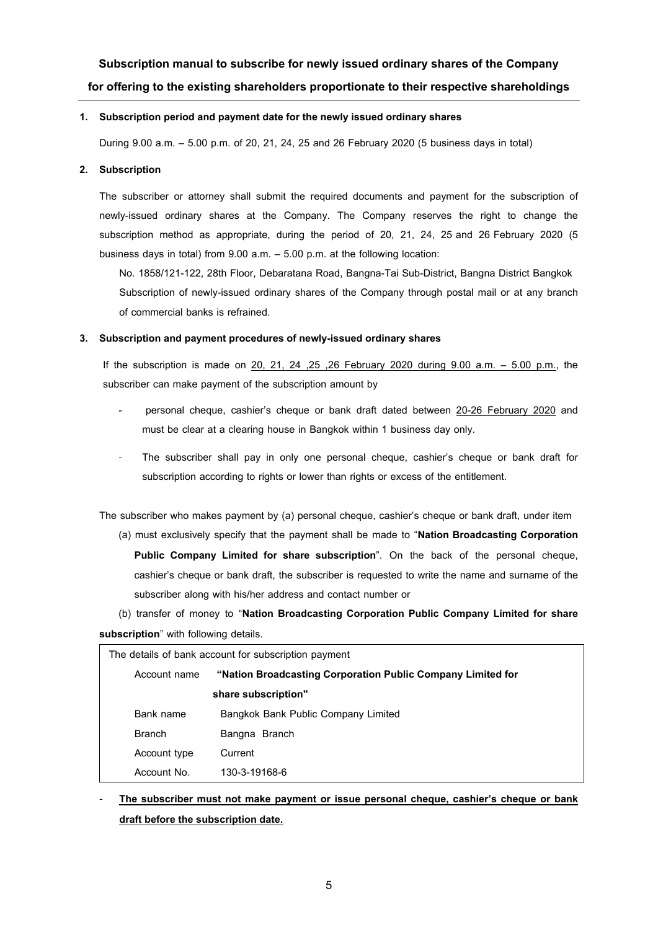**Subscription manual to subscribe for newly issued ordinary shares of the Company** 

# **for offering to the existing shareholders proportionate to their respective shareholdings**

#### **1. Subscription period and payment date for the newly issued ordinary shares**

During 9.00 a.m. – 5.00 p.m. of 20, 21, 24, 25 and 26 February 2020 (5 business days in total)

#### **2. Subscription**

The subscriber or attorney shall submit the required documents and payment for the subscription of newly-issued ordinary shares at the Company. The Company reserves the right to change the subscription method as appropriate, during the period of 20, 21, 24, 25 and 26 February 2020 (5 business days in total) from 9.00 a.m. – 5.00 p.m. at the following location:

No. 1858/121-122, 28th Floor, Debaratana Road, Bangna-Tai Sub-District, Bangna District Bangkok Subscription of newly-issued ordinary shares of the Company through postal mail or at any branch of commercial banks is refrained.

#### **3. Subscription and payment procedures of newly-issued ordinary shares**

If the subscription is made on 20, 21, 24, 25, 26 February 2020 during  $9.00$  a.m.  $-5.00$  p.m., the subscriber can make payment of the subscription amount by

- personal cheque, cashier's cheque or bank draft dated between 20-26 February 2020 and must be clear at a clearing house in Bangkok within 1 business day only.
- The subscriber shall pay in only one personal cheque, cashier's cheque or bank draft for subscription according to rights or lower than rights or excess of the entitlement.

The subscriber who makes payment by (a) personal cheque, cashier's cheque or bank draft, under item

 (a) must exclusively specify that the payment shall be made to "**Nation Broadcasting Corporation Public Company Limited for share subscription**". On the back of the personal cheque, cashier's cheque or bank draft, the subscriber is requested to write the name and surname of the subscriber along with his/her address and contact number or

 (b) transfer of money to "**Nation Broadcasting Corporation Public Company Limited for share subscription**" with following details.

| The details of bank account for subscription payment |               |                                                             |  |
|------------------------------------------------------|---------------|-------------------------------------------------------------|--|
|                                                      | Account name  | "Nation Broadcasting Corporation Public Company Limited for |  |
|                                                      |               | share subscription"                                         |  |
|                                                      | Bank name     | Bangkok Bank Public Company Limited                         |  |
|                                                      | <b>Branch</b> | Bangna Branch                                               |  |
|                                                      | Account type  | Current                                                     |  |
|                                                      | Account No.   | 130-3-19168-6                                               |  |

- **The subscriber must not make payment or issue personal cheque, cashier's cheque or bank draft before the subscription date.**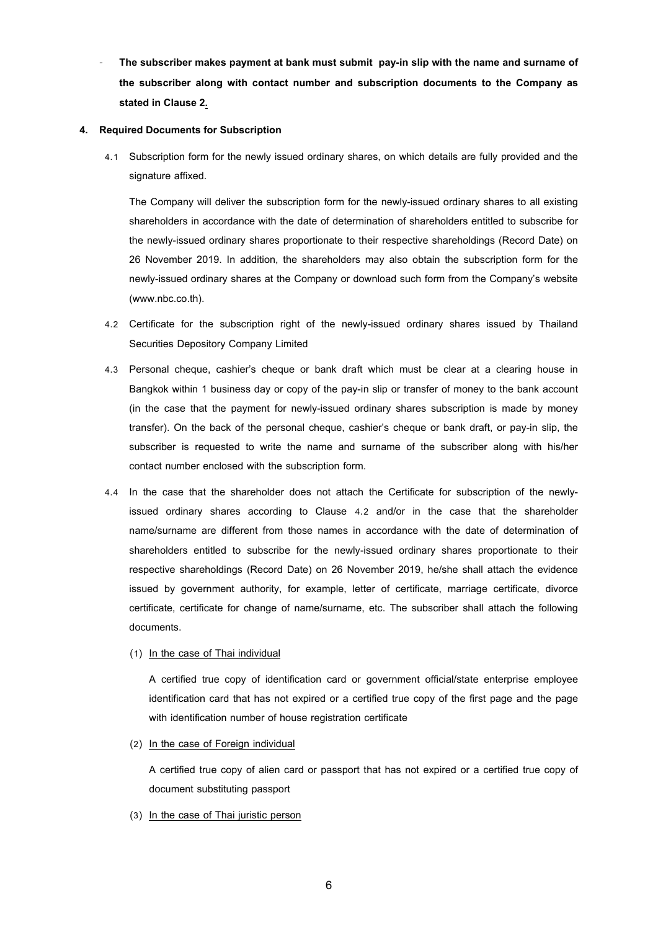- **The subscriber makes payment at bank must submit pay-in slip with the name and surname of the subscriber along with contact number and subscription documents to the Company as stated in Clause 2.** 

#### **4. Required Documents for Subscription**

4.1 Subscription form for the newly issued ordinary shares, on which details are fully provided and the signature affixed.

The Company will deliver the subscription form for the newly-issued ordinary shares to all existing shareholders in accordance with the date of determination of shareholders entitled to subscribe for the newly-issued ordinary shares proportionate to their respective shareholdings (Record Date) on 26 November 2019. In addition, the shareholders may also obtain the subscription form for the newly-issued ordinary shares at the Company or download such form from the Company's website (www.nbc.co.th).

- 4.2 Certificate for the subscription right of the newly-issued ordinary shares issued by Thailand Securities Depository Company Limited
- 4.3 Personal cheque, cashier's cheque or bank draft which must be clear at a clearing house in Bangkok within 1 business day or copy of the pay-in slip or transfer of money to the bank account (in the case that the payment for newly-issued ordinary shares subscription is made by money transfer). On the back of the personal cheque, cashier's cheque or bank draft, or pay-in slip, the subscriber is requested to write the name and surname of the subscriber along with his/her contact number enclosed with the subscription form.
- 4.4 In the case that the shareholder does not attach the Certificate for subscription of the newlyissued ordinary shares according to Clause 4.2 and/or in the case that the shareholder name/surname are different from those names in accordance with the date of determination of shareholders entitled to subscribe for the newly-issued ordinary shares proportionate to their respective shareholdings (Record Date) on 26 November 2019, he/she shall attach the evidence issued by government authority, for example, letter of certificate, marriage certificate, divorce certificate, certificate for change of name/surname, etc. The subscriber shall attach the following documents.

### (1) In the case of Thai individual

A certified true copy of identification card or government official/state enterprise employee identification card that has not expired or a certified true copy of the first page and the page with identification number of house registration certificate

#### (2) In the case of Foreign individual

A certified true copy of alien card or passport that has not expired or a certified true copy of document substituting passport

(3) In the case of Thai juristic person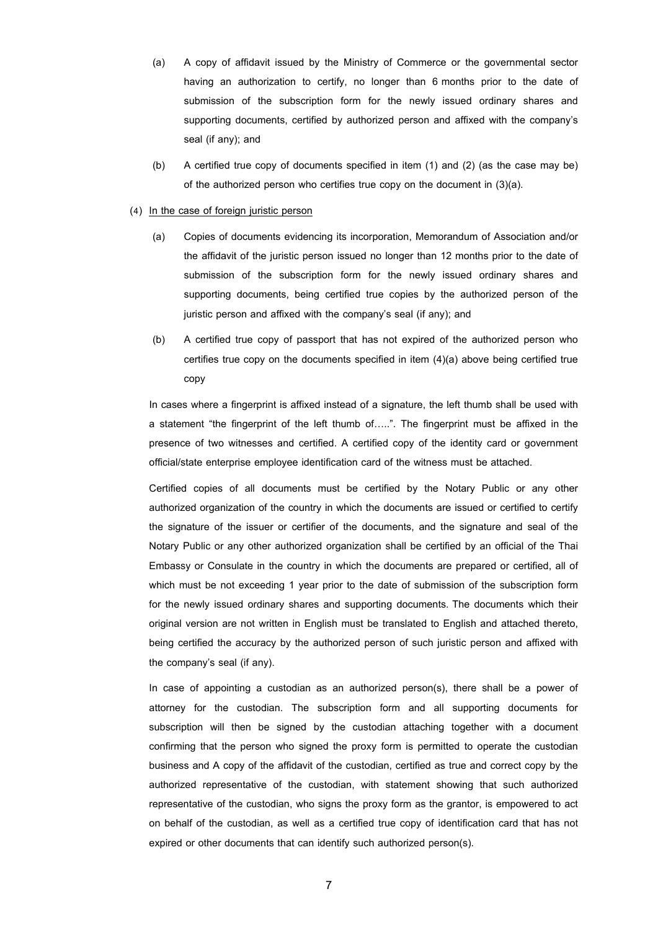- (a) A copy of affidavit issued by the Ministry of Commerce or the governmental sector having an authorization to certify, no longer than 6 months prior to the date of submission of the subscription form for the newly issued ordinary shares and supporting documents, certified by authorized person and affixed with the company's seal (if any); and
- (b) A certified true copy of documents specified in item (1) and (2) (as the case may be) of the authorized person who certifies true copy on the document in (3)(a).

## (4) In the case of foreign juristic person

- (a) Copies of documents evidencing its incorporation, Memorandum of Association and/or the affidavit of the juristic person issued no longer than 12 months prior to the date of submission of the subscription form for the newly issued ordinary shares and supporting documents, being certified true copies by the authorized person of the juristic person and affixed with the company's seal (if any); and
- (b) A certified true copy of passport that has not expired of the authorized person who certifies true copy on the documents specified in item (4)(a) above being certified true copy

In cases where a fingerprint is affixed instead of a signature, the left thumb shall be used with a statement "the fingerprint of the left thumb of…..". The fingerprint must be affixed in the presence of two witnesses and certified. A certified copy of the identity card or government official/state enterprise employee identification card of the witness must be attached.

Certified copies of all documents must be certified by the Notary Public or any other authorized organization of the country in which the documents are issued or certified to certify the signature of the issuer or certifier of the documents, and the signature and seal of the Notary Public or any other authorized organization shall be certified by an official of the Thai Embassy or Consulate in the country in which the documents are prepared or certified, all of which must be not exceeding 1 year prior to the date of submission of the subscription form for the newly issued ordinary shares and supporting documents. The documents which their original version are not written in English must be translated to English and attached thereto, being certified the accuracy by the authorized person of such juristic person and affixed with the company's seal (if any).

In case of appointing a custodian as an authorized person(s), there shall be a power of attorney for the custodian. The subscription form and all supporting documents for subscription will then be signed by the custodian attaching together with a document confirming that the person who signed the proxy form is permitted to operate the custodian business and A copy of the affidavit of the custodian, certified as true and correct copy by the authorized representative of the custodian, with statement showing that such authorized representative of the custodian, who signs the proxy form as the grantor, is empowered to act on behalf of the custodian, as well as a certified true copy of identification card that has not expired or other documents that can identify such authorized person(s).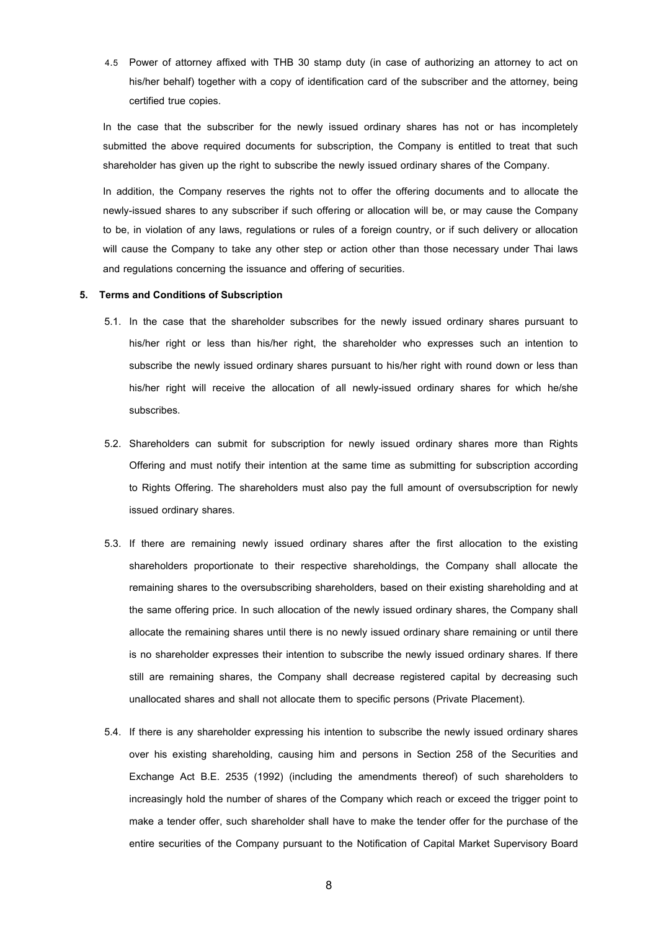4.5 Power of attorney affixed with THB 30 stamp duty (in case of authorizing an attorney to act on his/her behalf) together with a copy of identification card of the subscriber and the attorney, being certified true copies.

In the case that the subscriber for the newly issued ordinary shares has not or has incompletely submitted the above required documents for subscription, the Company is entitled to treat that such shareholder has given up the right to subscribe the newly issued ordinary shares of the Company.

In addition, the Company reserves the rights not to offer the offering documents and to allocate the newly-issued shares to any subscriber if such offering or allocation will be, or may cause the Company to be, in violation of any laws, regulations or rules of a foreign country, or if such delivery or allocation will cause the Company to take any other step or action other than those necessary under Thai laws and regulations concerning the issuance and offering of securities.

#### **5. Terms and Conditions of Subscription**

- 5.1. In the case that the shareholder subscribes for the newly issued ordinary shares pursuant to his/her right or less than his/her right, the shareholder who expresses such an intention to subscribe the newly issued ordinary shares pursuant to his/her right with round down or less than his/her right will receive the allocation of all newly-issued ordinary shares for which he/she subscribes.
- 5.2. Shareholders can submit for subscription for newly issued ordinary shares more than Rights Offering and must notify their intention at the same time as submitting for subscription according to Rights Offering. The shareholders must also pay the full amount of oversubscription for newly issued ordinary shares.
- 5.3. If there are remaining newly issued ordinary shares after the first allocation to the existing shareholders proportionate to their respective shareholdings, the Company shall allocate the remaining shares to the oversubscribing shareholders, based on their existing shareholding and at the same offering price. In such allocation of the newly issued ordinary shares, the Company shall allocate the remaining shares until there is no newly issued ordinary share remaining or until there is no shareholder expresses their intention to subscribe the newly issued ordinary shares. If there still are remaining shares, the Company shall decrease registered capital by decreasing such unallocated shares and shall not allocate them to specific persons (Private Placement).
- 5.4. If there is any shareholder expressing his intention to subscribe the newly issued ordinary shares over his existing shareholding, causing him and persons in Section 258 of the Securities and Exchange Act B.E. 2535 (1992) (including the amendments thereof) of such shareholders to increasingly hold the number of shares of the Company which reach or exceed the trigger point to make a tender offer, such shareholder shall have to make the tender offer for the purchase of the entire securities of the Company pursuant to the Notification of Capital Market Supervisory Board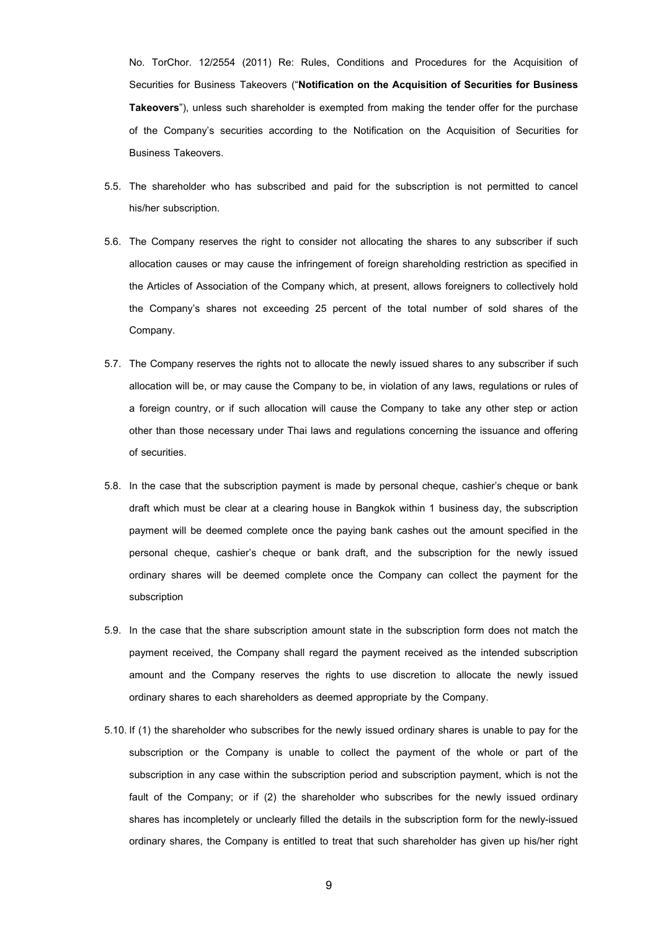No. TorChor. 12/2554 (2011) Re: Rules, Conditions and Procedures for the Acquisition of Securities for Business Takeovers ("**Notification on the Acquisition of Securities for Business Takeovers**"), unless such shareholder is exempted from making the tender offer for the purchase of the Company's securities according to the Notification on the Acquisition of Securities for Business Takeovers.

- 5.5. The shareholder who has subscribed and paid for the subscription is not permitted to cancel his/her subscription.
- 5.6. The Company reserves the right to consider not allocating the shares to any subscriber if such allocation causes or may cause the infringement of foreign shareholding restriction as specified in the Articles of Association of the Company which, at present, allows foreigners to collectively hold the Company's shares not exceeding 25 percent of the total number of sold shares of the Company.
- 5.7. The Company reserves the rights not to allocate the newly issued shares to any subscriber if such allocation will be, or may cause the Company to be, in violation of any laws, regulations or rules of a foreign country, or if such allocation will cause the Company to take any other step or action other than those necessary under Thai laws and regulations concerning the issuance and offering of securities.
- 5.8. In the case that the subscription payment is made by personal cheque, cashier's cheque or bank draft which must be clear at a clearing house in Bangkok within 1 business day, the subscription payment will be deemed complete once the paying bank cashes out the amount specified in the personal cheque, cashier's cheque or bank draft, and the subscription for the newly issued ordinary shares will be deemed complete once the Company can collect the payment for the subscription
- 5.9. In the case that the share subscription amount state in the subscription form does not match the payment received, the Company shall regard the payment received as the intended subscription amount and the Company reserves the rights to use discretion to allocate the newly issued ordinary shares to each shareholders as deemed appropriate by the Company.
- 5.10. If (1) the shareholder who subscribes for the newly issued ordinary shares is unable to pay for the subscription or the Company is unable to collect the payment of the whole or part of the subscription in any case within the subscription period and subscription payment, which is not the fault of the Company; or if (2) the shareholder who subscribes for the newly issued ordinary shares has incompletely or unclearly filled the details in the subscription form for the newly-issued ordinary shares, the Company is entitled to treat that such shareholder has given up his/her right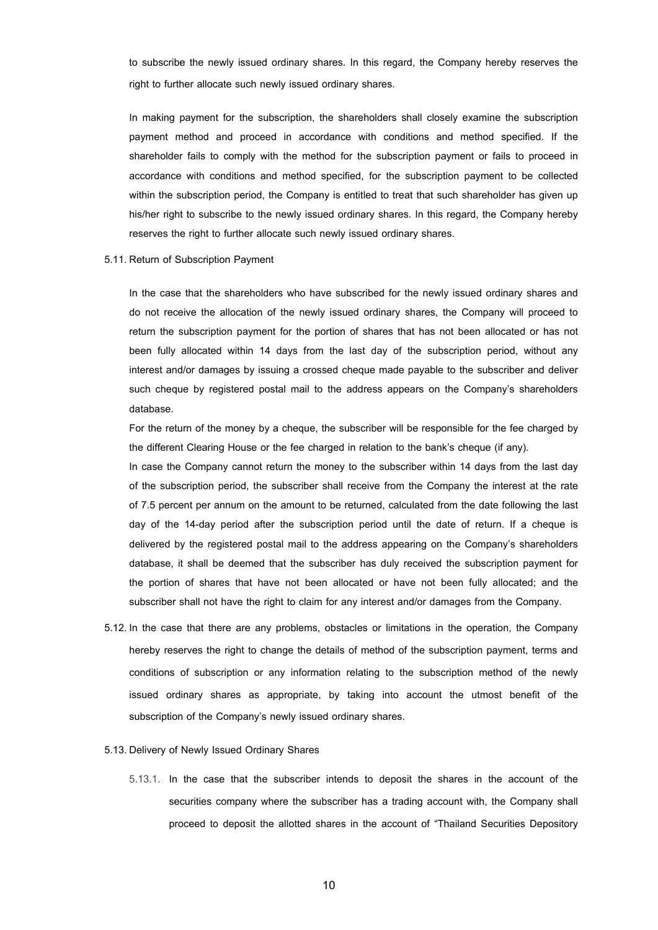to subscribe the newly issued ordinary shares. In this regard, the Company hereby reserves the right to further allocate such newly issued ordinary shares.

In making payment for the subscription, the shareholders shall closely examine the subscription payment method and proceed in accordance with conditions and method specified. If the shareholder fails to comply with the method for the subscription payment or fails to proceed in accordance with conditions and method specified, for the subscription payment to be collected within the subscription period, the Company is entitled to treat that such shareholder has given up his/her right to subscribe to the newly issued ordinary shares. In this regard, the Company hereby reserves the right to further allocate such newly issued ordinary shares.

#### 5.11. Return of Subscription Payment

In the case that the shareholders who have subscribed for the newly issued ordinary shares and do not receive the allocation of the newly issued ordinary shares, the Company will proceed to return the subscription payment for the portion of shares that has not been allocated or has not been fully allocated within 14 days from the last day of the subscription period, without any interest and/or damages by issuing a crossed cheque made payable to the subscriber and deliver such cheque by registered postal mail to the address appears on the Company's shareholders database.

For the return of the money by a cheque, the subscriber will be responsible for the fee charged by the different Clearing House or the fee charged in relation to the bank's cheque (if any).

In case the Company cannot return the money to the subscriber within 14 days from the last day of the subscription period, the subscriber shall receive from the Company the interest at the rate of 7.5 percent per annum on the amount to be returned, calculated from the date following the last day of the 14-day period after the subscription period until the date of return. If a cheque is delivered by the registered postal mail to the address appearing on the Company's shareholders database, it shall be deemed that the subscriber has duly received the subscription payment for the portion of shares that have not been allocated or have not been fully allocated; and the subscriber shall not have the right to claim for any interest and/or damages from the Company.

5.12. In the case that there are any problems, obstacles or limitations in the operation, the Company hereby reserves the right to change the details of method of the subscription payment, terms and conditions of subscription or any information relating to the subscription method of the newly issued ordinary shares as appropriate, by taking into account the utmost benefit of the subscription of the Company's newly issued ordinary shares.

#### 5.13. Delivery of Newly Issued Ordinary Shares

5.13.1. In the case that the subscriber intends to deposit the shares in the account of the securities company where the subscriber has a trading account with, the Company shall proceed to deposit the allotted shares in the account of "Thailand Securities Depository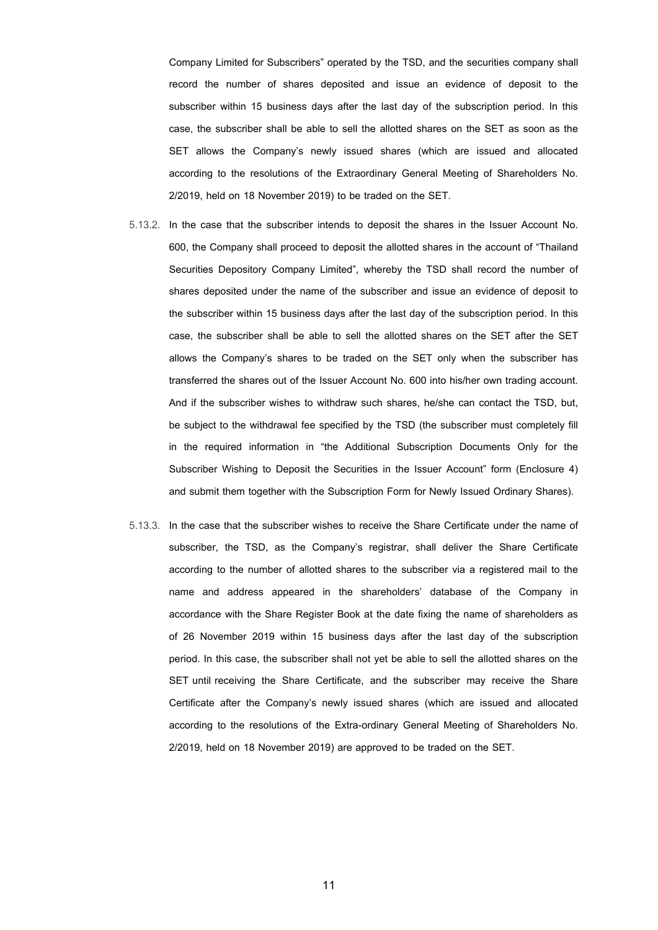Company Limited for Subscribers" operated by the TSD, and the securities company shall record the number of shares deposited and issue an evidence of deposit to the subscriber within 15 business days after the last day of the subscription period. In this case, the subscriber shall be able to sell the allotted shares on the SET as soon as the SET allows the Company's newly issued shares (which are issued and allocated according to the resolutions of the Extraordinary General Meeting of Shareholders No. 2/2019, held on 18 November 2019) to be traded on the SET.

- 5.13.2. In the case that the subscriber intends to deposit the shares in the Issuer Account No. 600, the Company shall proceed to deposit the allotted shares in the account of "Thailand Securities Depository Company Limited", whereby the TSD shall record the number of shares deposited under the name of the subscriber and issue an evidence of deposit to the subscriber within 15 business days after the last day of the subscription period. In this case, the subscriber shall be able to sell the allotted shares on the SET after the SET allows the Company's shares to be traded on the SET only when the subscriber has transferred the shares out of the Issuer Account No. 600 into his/her own trading account. And if the subscriber wishes to withdraw such shares, he/she can contact the TSD, but, be subject to the withdrawal fee specified by the TSD (the subscriber must completely fill in the required information in "the Additional Subscription Documents Only for the Subscriber Wishing to Deposit the Securities in the Issuer Account" form (Enclosure 4) and submit them together with the Subscription Form for Newly Issued Ordinary Shares).
- 5.13.3. In the case that the subscriber wishes to receive the Share Certificate under the name of subscriber, the TSD, as the Company's registrar, shall deliver the Share Certificate according to the number of allotted shares to the subscriber via a registered mail to the name and address appeared in the shareholders' database of the Company in accordance with the Share Register Book at the date fixing the name of shareholders as of 26 November 2019 within 15 business days after the last day of the subscription period. In this case, the subscriber shall not yet be able to sell the allotted shares on the SET until receiving the Share Certificate, and the subscriber may receive the Share Certificate after the Company's newly issued shares (which are issued and allocated according to the resolutions of the Extra-ordinary General Meeting of Shareholders No. 2/2019, held on 18 November 2019) are approved to be traded on the SET.